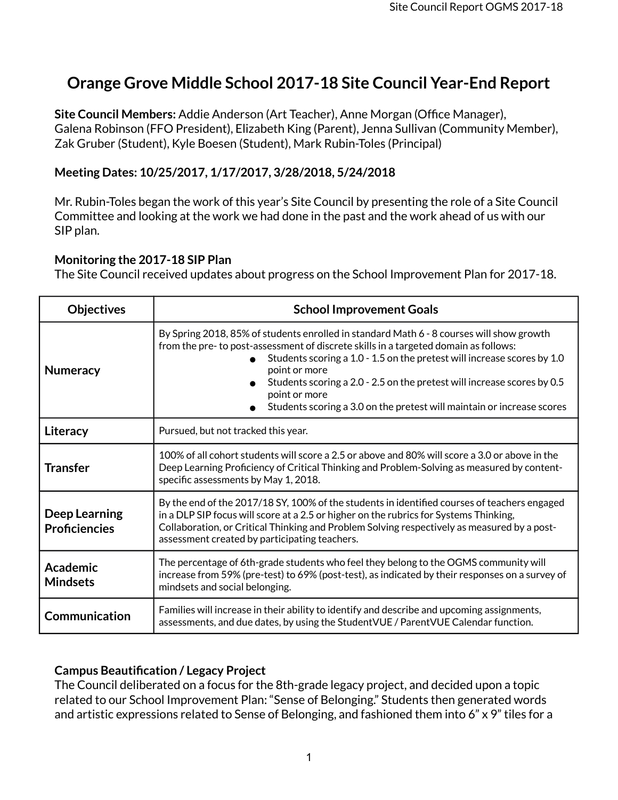# **Orange Grove Middle School 2017-18 Site Council Year-End Report**

**Site Council Members:** Addie Anderson (Art Teacher), Anne Morgan (Office Manager), Galena Robinson (FFO President), Elizabeth King (Parent), Jenna Sullivan (Community Member), Zak Gruber (Student), Kyle Boesen (Student), Mark Rubin-Toles (Principal)

## **Meeting Dates: 10/25/2017, 1/17/2017, 3/28/2018, 5/24/2018**

Mr. Rubin-Toles began the work of this year's Site Council by presenting the role of a Site Council Committee and looking at the work we had done in the past and the work ahead of us with our SIP plan.

## **Monitoring the 2017-18 SIP Plan**

The Site Council received updates about progress on the School Improvement Plan for 2017-18.

| <b>Objectives</b>                            | <b>School Improvement Goals</b>                                                                                                                                                                                                                                                                                                                                                                                                                    |
|----------------------------------------------|----------------------------------------------------------------------------------------------------------------------------------------------------------------------------------------------------------------------------------------------------------------------------------------------------------------------------------------------------------------------------------------------------------------------------------------------------|
| <b>Numeracy</b>                              | By Spring 2018, 85% of students enrolled in standard Math 6 - 8 courses will show growth<br>from the pre- to post-assessment of discrete skills in a targeted domain as follows:<br>Students scoring a 1.0 - 1.5 on the pretest will increase scores by 1.0<br>point or more<br>Students scoring a 2.0 - 2.5 on the pretest will increase scores by 0.5<br>point or more<br>Students scoring a 3.0 on the pretest will maintain or increase scores |
| Literacy                                     | Pursued, but not tracked this year.                                                                                                                                                                                                                                                                                                                                                                                                                |
| Transfer                                     | 100% of all cohort students will score a 2.5 or above and 80% will score a 3.0 or above in the<br>Deep Learning Proficiency of Critical Thinking and Problem-Solving as measured by content-<br>specific assessments by May 1, 2018.                                                                                                                                                                                                               |
| <b>Deep Learning</b><br><b>Proficiencies</b> | By the end of the 2017/18 SY, 100% of the students in identified courses of teachers engaged<br>in a DLP SIP focus will score at a 2.5 or higher on the rubrics for Systems Thinking,<br>Collaboration, or Critical Thinking and Problem Solving respectively as measured by a post-<br>assessment created by participating teachers.                                                                                                              |
| <b>Academic</b><br><b>Mindsets</b>           | The percentage of 6th-grade students who feel they belong to the OGMS community will<br>increase from 59% (pre-test) to 69% (post-test), as indicated by their responses on a survey of<br>mindsets and social belonging.                                                                                                                                                                                                                          |
| Communication                                | Families will increase in their ability to identify and describe and upcoming assignments,<br>assessments, and due dates, by using the StudentVUE / ParentVUE Calendar function.                                                                                                                                                                                                                                                                   |

## **Campus Beautification / Legacy Project**

The Council deliberated on a focus for the 8th-grade legacy project, and decided upon a topic related to our School Improvement Plan: "Sense of Belonging." Students then generated words and artistic expressions related to Sense of Belonging, and fashioned them into 6" x 9" tiles for a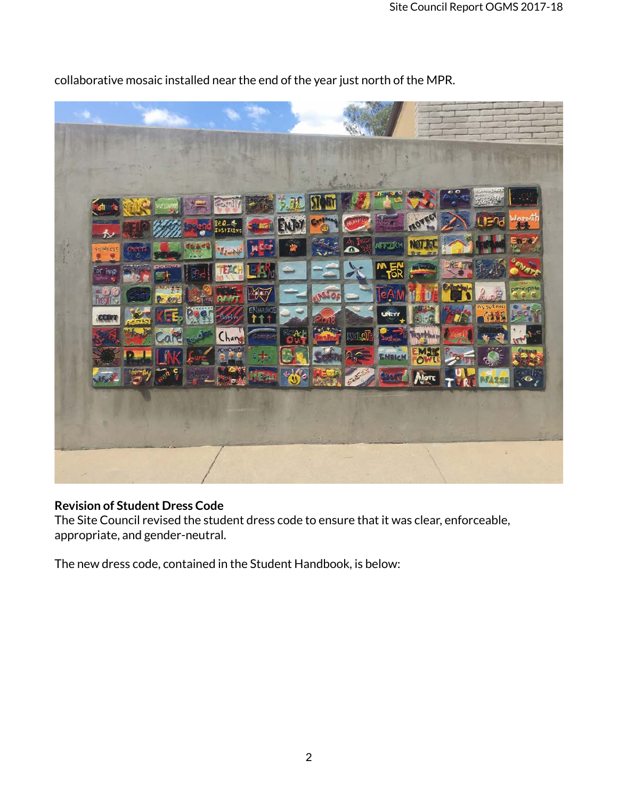

collaborative mosaic installed near the end of the year just north of the MPR.

## **Revision of Student Dress Code**

The Site Council revised the student dress code to ensure that it was clear, enforceable, appropriate, and gender-neutral.

The new dress code, contained in the Student Handbook, is below: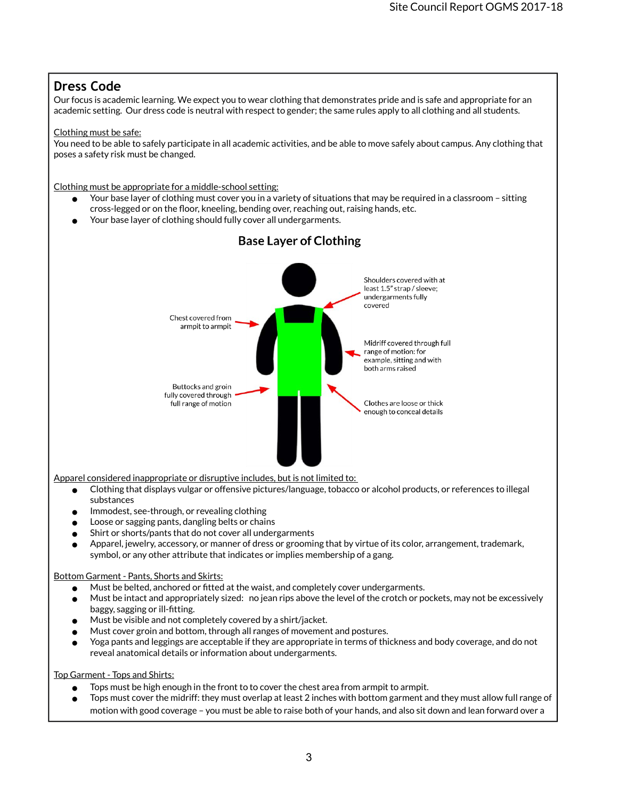## **Dress Code**

Our focus is academic learning. We expect you to wear clothing that demonstrates pride and is safe and appropriate for an academic setting. Our dress code is neutral with respect to gender; the same rules apply to all clothing and all students.

#### Clothing must be safe:

You need to be able to safely participate in all academic activities, and be able to move safely about campus. Any clothing that poses a safety risk must be changed.

#### Clothing must be appropriate for a middle-school setting:

- Your base layer of clothing must cover you in a variety of situations that may be required in a classroom sitting cross-legged or on the floor, kneeling, bending over, reaching out, raising hands, etc.
- Your base layer of clothing should fully cover all undergarments.



Apparel considered inappropriate or disruptive includes, but is not limited to:

- Clothing that displays vulgar or offensive pictures/language, tobacco or alcohol products, or references to illegal substances
- Immodest, see-through, or revealing clothing
- Loose or sagging pants, dangling belts or chains
- Shirt or shorts/pants that do not cover all undergarments
- Apparel, jewelry, accessory, or manner of dress or grooming that by virtue of its color, arrangement, trademark, symbol, or any other attribute that indicates or implies membership of a gang.

### Bottom Garment - Pants, Shorts and Skirts:

- Must be belted, anchored or fitted at the waist, and completely cover undergarments.
- Must be intact and appropriately sized: no jean rips above the level of the crotch or pockets, may not be excessively baggy, sagging or ill-fitting.
- Must be visible and not completely covered by a shirt/jacket.
- Must cover groin and bottom, through all ranges of movement and postures.
- Yoga pants and leggings are acceptable if they are appropriate in terms of thickness and body coverage, and do not reveal anatomical details or information about undergarments.

Top Garment - Tops and Shirts:

- Tops must be high enough in the front to to cover the chest area from armpit to armpit.
- Tops must cover the midriff: they must overlap at least 2 inches with bottom garment and they must allow full range of motion with good coverage – you must be able to raise both of your hands, and also sit down and lean forward over a

## **Base Layer of Clothing**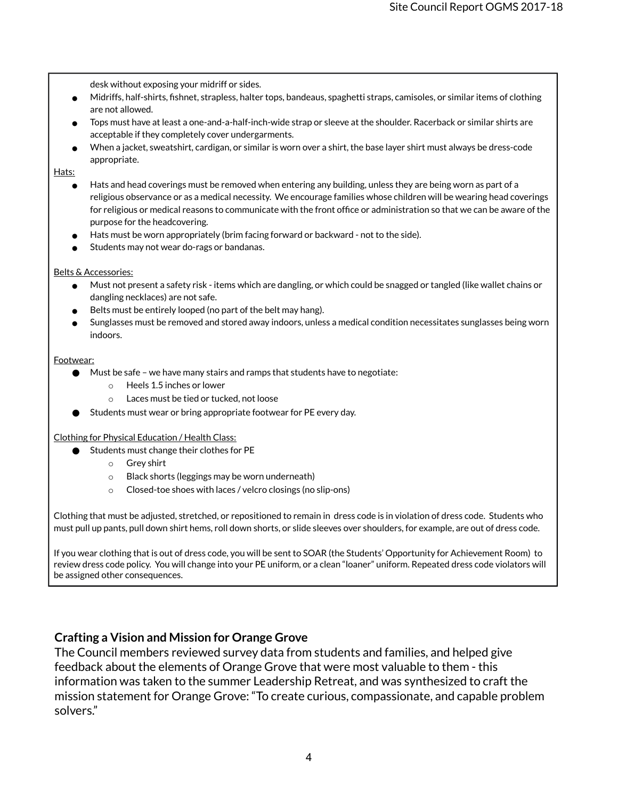desk without exposing your midriff or sides.

- Midriffs, half-shirts, fishnet, strapless, halter tops, bandeaus, spaghetti straps, camisoles, or similar items of clothing are not allowed.
- Tops must have at least a one-and-a-half-inch-wide strap or sleeve at the shoulder. Racerback or similar shirts are acceptable if they completely cover undergarments.
- When a jacket, sweatshirt, cardigan, or similar is worn over a shirt, the base layer shirt must always be dress-code appropriate.

Hats:

- Hats and head coverings must be removed when entering any building, unless they are being worn as part of a religious observance or as a medical necessity. We encourage families whose children will be wearing head coverings for religious or medical reasons to communicate with the front office or administration so that we can be aware of the purpose for the headcovering.
- Hats must be worn appropriately (brim facing forward or backward not to the side).
- Students may not wear do-rags or bandanas.

#### Belts & Accessories:

- Must not present a safety risk items which are dangling, or which could be snagged or tangled (like wallet chains or dangling necklaces) are not safe.
- Belts must be entirely looped (no part of the belt may hang).
- Sunglasses must be removed and stored away indoors, unless a medical condition necessitates sunglasses being worn indoors.

#### Footwear:

- **●** Must be safe we have many stairs and ramps that students have to negotiate:
	- o Heels 1.5 inches or lower
	- o Laces must be tied or tucked, not loose
- **●** Students must wear or bring appropriate footwear for PE every day.

Clothing for Physical Education / Health Class:

- **●** Students must change their clothes for PE
	- o Grey shirt
	- o Black shorts (leggings may be worn underneath)
	- o Closed-toe shoes with laces / velcro closings (no slip-ons)

Clothing that must be adjusted, stretched, or repositioned to remain in dress code is in violation of dress code. Students who must pull up pants, pull down shirt hems, roll down shorts, or slide sleeves over shoulders, for example, are out of dress code.

If you wear clothing that is out of dress code, you will be sent to SOAR (the Students' Opportunity for Achievement Room) to review dress code policy. You will change into your PE uniform, or a clean "loaner" uniform. Repeated dress code violators will be assigned other consequences.

### **Crafting a Vision and Mission for Orange Grove**

The Council members reviewed survey data from students and families, and helped give feedback about the elements of Orange Grove that were most valuable to them - this information was taken to the summer Leadership Retreat, and was synthesized to craft the mission statement for Orange Grove: "To create curious, compassionate, and capable problem solvers."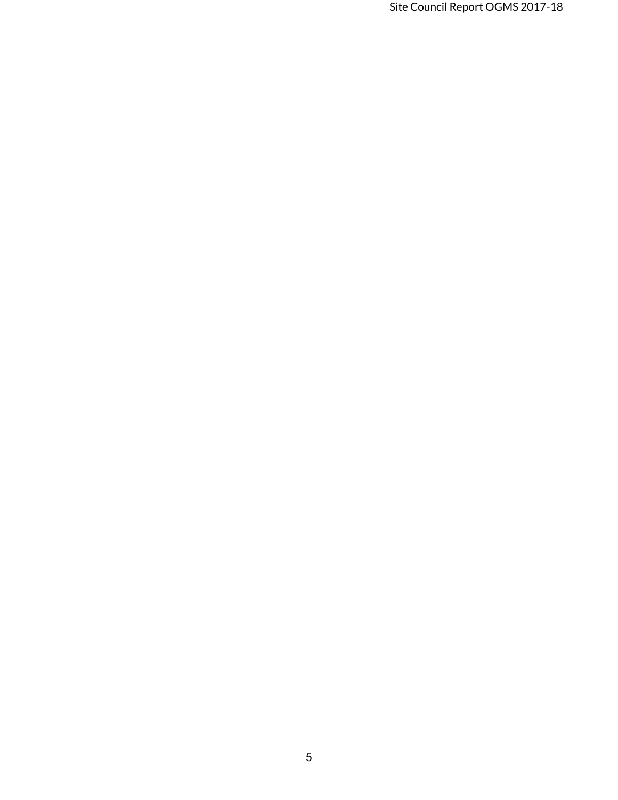Site Council Report OGMS 2017-18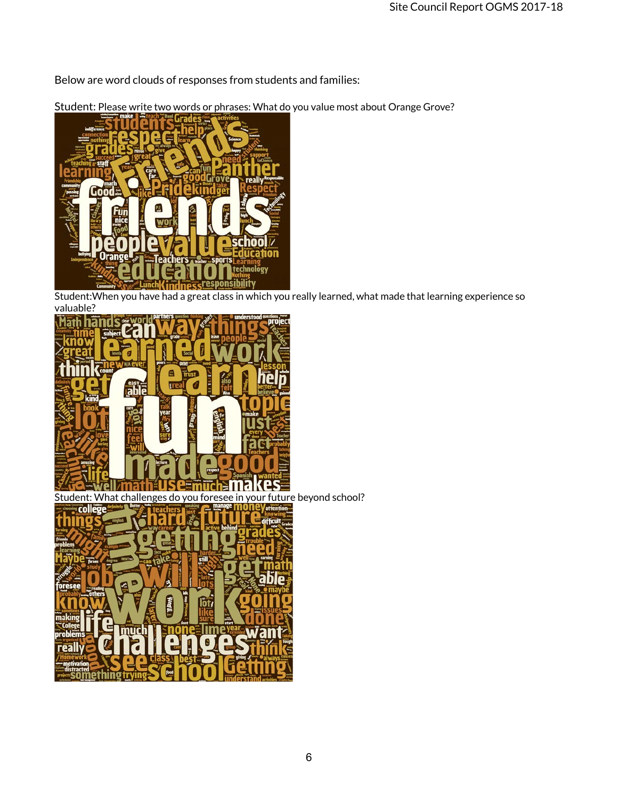Below are word clouds of responses from students and families:

Student: Please write two words or phrases: What do you value most about Orange Grove?



Student:When you have had a great class in which you really learned, what made that learning experience so valuable?

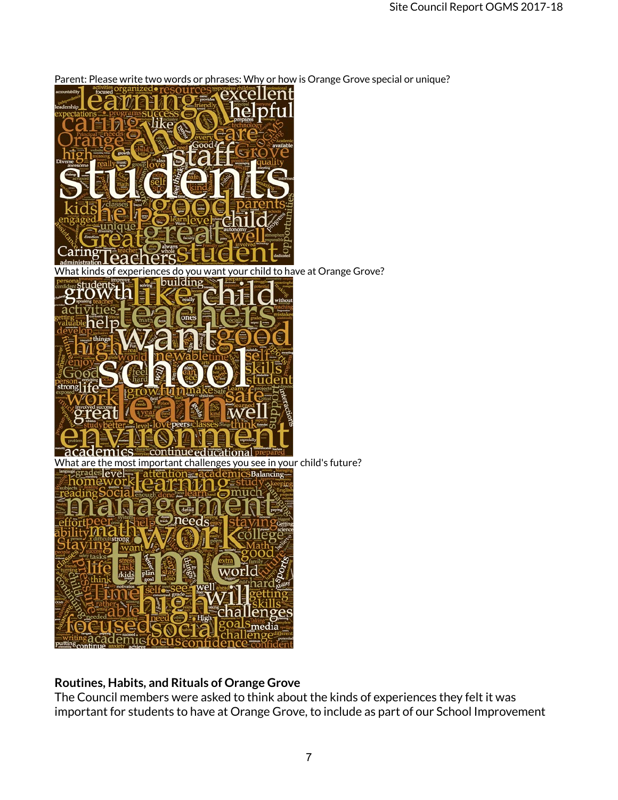Parent: Please write two words or phrases: Why or how is Orange Grove special or unique?



## **Routines, Habits, and Rituals of Orange Grove**

The Council members were asked to think about the kinds of experiences they felt it was important for students to have at Orange Grove, to include as part of our School Improvement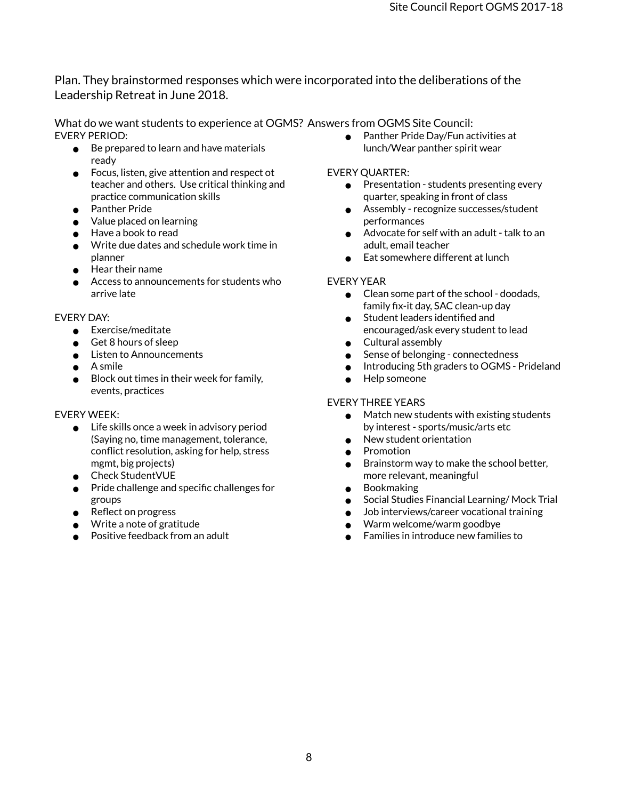Plan. They brainstormed responses which were incorporated into the deliberations of the Leadership Retreat in June 2018.

What do we want students to experience at OGMS? Answers from OGMS Site Council:

EVERY PERIOD:

- Be prepared to learn and have materials ready
- Focus, listen, give attention and respect ot teacher and others. Use critical thinking and practice communication skills
- Panther Pride
- Value placed on learning
- Have a book to read
- Write due dates and schedule work time in planner
- Hear their name
- Access to announcements for students who arrive late

### EVERY DAY:

- Exercise/meditate
- Get 8 hours of sleep
- Listen to Announcements
- A smile
- $\bullet$  Block out times in their week for family, events, practices

### EVERY WEEK:

- Life skills once a week in advisory period (Saying no, time management, tolerance, conflict resolution, asking for help, stress mgmt, big projects)
- Check StudentVUE
- Pride challenge and specific challenges for groups
- Reflect on progress
- Write a note of gratitude
- $\bullet$  Positive feedback from an adult

Panther Pride Day/Fun activities at lunch/Wear panther spirit wear

### EVERY QUARTER:

- Presentation students presenting every quarter, speaking in front of class
- Assembly recognize successes/student performances
- Advocate for self with an adult talk to an adult, email teacher
- Eat somewhere different at lunch

### EVERY YEAR

- Clean some part of the school doodads. family fix-it day, SAC clean-up day
- Student leaders identified and encouraged/ask every student to lead
- Cultural assembly
- Sense of belonging connectedness
- Introducing 5th graders to OGMS Prideland
- Help someone

### EVERY THREE YEARS

- $\bullet$  Match new students with existing students by interest - sports/music/arts etc
- New student orientation
- Promotion
- Brainstorm way to make the school better. more relevant, meaningful
- Bookmaking
- Social Studies Financial Learning/ Mock Trial
- Job interviews/career vocational training
- Warm welcome/warm goodbye
- Families in introduce new families to